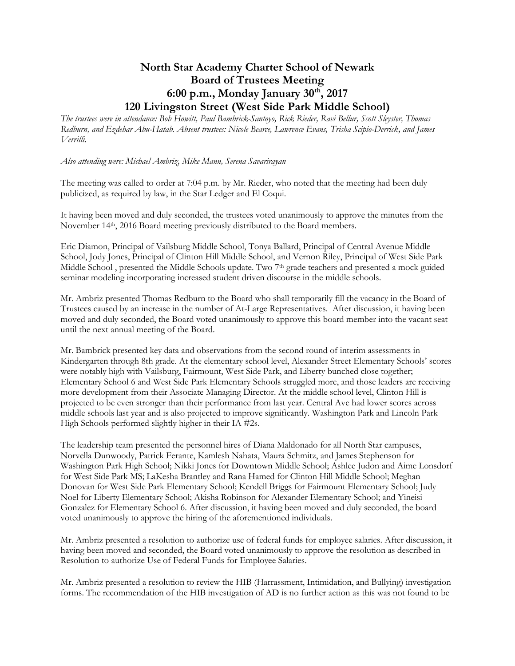## **North Star Academy Charter School of Newark Board of Trustees Meeting 6:00 p.m., Monday January 30th, 2017 120 Livingston Street (West Side Park Middle School)**

*The trustees were in attendance: Bob Howitt, Paul Bambrick-Santoyo, Rick Rieder, Ravi Bellur, Scott Sleyster, Thomas Redburn, and Ezdehar Abu-Hatab. Absent trustees: Nicole Bearce, Lawrence Evans, Trisha Scipio-Derrick, and James Verrilli.*

*Also attending were: Michael Ambriz, Mike Mann, Serena Savarirayan* 

The meeting was called to order at 7:04 p.m. by Mr. Rieder, who noted that the meeting had been duly publicized, as required by law, in the Star Ledger and El Coqui.

It having been moved and duly seconded, the trustees voted unanimously to approve the minutes from the November 14th, 2016 Board meeting previously distributed to the Board members.

Eric Diamon, Principal of Vailsburg Middle School, Tonya Ballard, Principal of Central Avenue Middle School, Jody Jones, Principal of Clinton Hill Middle School, and Vernon Riley, Principal of West Side Park Middle School , presented the Middle Schools update. Two 7th grade teachers and presented a mock guided seminar modeling incorporating increased student driven discourse in the middle schools.

Mr. Ambriz presented Thomas Redburn to the Board who shall temporarily fill the vacancy in the Board of Trustees caused by an increase in the number of At-Large Representatives. After discussion, it having been moved and duly seconded, the Board voted unanimously to approve this board member into the vacant seat until the next annual meeting of the Board.

Mr. Bambrick presented key data and observations from the second round of interim assessments in Kindergarten through 8th grade. At the elementary school level, Alexander Street Elementary Schools' scores were notably high with Vailsburg, Fairmount, West Side Park, and Liberty bunched close together; Elementary School 6 and West Side Park Elementary Schools struggled more, and those leaders are receiving more development from their Associate Managing Director. At the middle school level, Clinton Hill is projected to be even stronger than their performance from last year. Central Ave had lower scores across middle schools last year and is also projected to improve significantly. Washington Park and Lincoln Park High Schools performed slightly higher in their IA #2s.

The leadership team presented the personnel hires of Diana Maldonado for all North Star campuses, Norvella Dunwoody, Patrick Ferante, Kamlesh Nahata, Maura Schmitz, and James Stephenson for Washington Park High School; Nikki Jones for Downtown Middle School; Ashlee Judon and Aime Lonsdorf for West Side Park MS; LaKesha Brantley and Rana Hamed for Clinton Hill Middle School; Meghan Donovan for West Side Park Elementary School; Kendell Briggs for Fairmount Elementary School; Judy Noel for Liberty Elementary School; Akisha Robinson for Alexander Elementary School; and Yineisi Gonzalez for Elementary School 6. After discussion, it having been moved and duly seconded, the board voted unanimously to approve the hiring of the aforementioned individuals.

Mr. Ambriz presented a resolution to authorize use of federal funds for employee salaries. After discussion, it having been moved and seconded, the Board voted unanimously to approve the resolution as described in Resolution to authorize Use of Federal Funds for Employee Salaries.

Mr. Ambriz presented a resolution to review the HIB (Harrassment, Intimidation, and Bullying) investigation forms. The recommendation of the HIB investigation of AD is no further action as this was not found to be